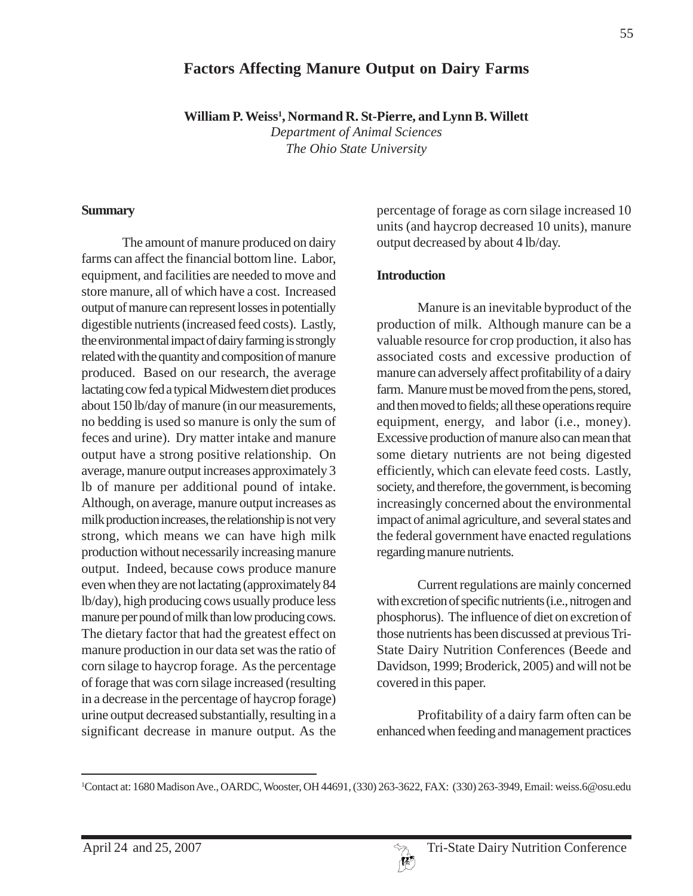## **Factors Affecting Manure Output on Dairy Farms**

**William P. Weiss1 , Normand R. St-Pierre, and Lynn B. Willett**

*Department of Animal Sciences The Ohio State University*

#### **Summary**

The amount of manure produced on dairy farms can affect the financial bottom line. Labor, equipment, and facilities are needed to move and store manure, all of which have a cost. Increased output of manure can represent losses in potentially digestible nutrients (increased feed costs). Lastly, the environmental impact of dairy farming is strongly related with the quantity and composition of manure produced. Based on our research, the average lactating cow fed a typical Midwestern diet produces about 150 lb/day of manure (in our measurements, no bedding is used so manure is only the sum of feces and urine). Dry matter intake and manure output have a strong positive relationship. On average, manure output increases approximately 3 lb of manure per additional pound of intake. Although, on average, manure output increases as milk production increases, the relationship is not very strong, which means we can have high milk production without necessarily increasing manure output. Indeed, because cows produce manure even when they are not lactating (approximately 84 lb/day), high producing cows usually produce less manure per pound of milk than low producing cows. The dietary factor that had the greatest effect on manure production in our data set was the ratio of corn silage to haycrop forage. As the percentage of forage that was corn silage increased (resulting in a decrease in the percentage of haycrop forage) urine output decreased substantially, resulting in a significant decrease in manure output. As the

percentage of forage as corn silage increased 10 units (and haycrop decreased 10 units), manure output decreased by about 4 lb/day.

#### **Introduction**

Manure is an inevitable byproduct of the production of milk. Although manure can be a valuable resource for crop production, it also has associated costs and excessive production of manure can adversely affect profitability of a dairy farm. Manure must be moved from the pens, stored, and then moved to fields; all these operations require equipment, energy, and labor (i.e., money). Excessive production of manure also can mean that some dietary nutrients are not being digested efficiently, which can elevate feed costs. Lastly, society, and therefore, the government, is becoming increasingly concerned about the environmental impact of animal agriculture, and several states and the federal government have enacted regulations regarding manure nutrients.

Current regulations are mainly concerned with excretion of specific nutrients (i.e., nitrogen and phosphorus). The influence of diet on excretion of those nutrients has been discussed at previous Tri-State Dairy Nutrition Conferences (Beede and Davidson, 1999; Broderick, 2005) and will not be covered in this paper.

Profitability of a dairy farm often can be enhanced when feeding and management practices



<sup>1</sup> Contact at: 1680 Madison Ave., OARDC, Wooster, OH 44691, (330) 263-3622, FAX: (330) 263-3949, Email: weiss.6@osu.edu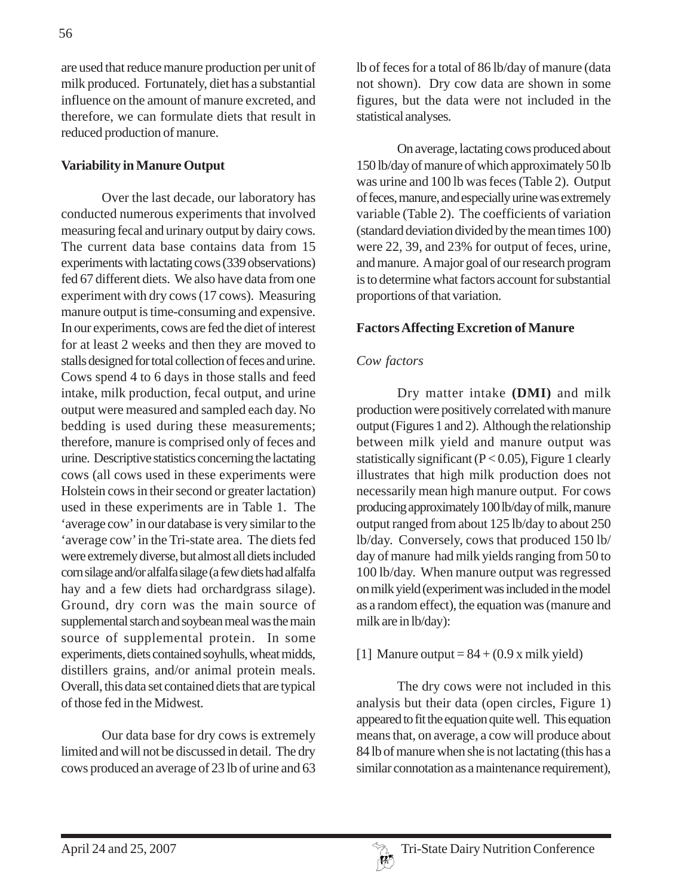are used that reduce manure production per unit of milk produced. Fortunately, diet has a substantial influence on the amount of manure excreted, and therefore, we can formulate diets that result in reduced production of manure.

### **Variability in Manure Output**

Over the last decade, our laboratory has conducted numerous experiments that involved measuring fecal and urinary output by dairy cows. The current data base contains data from 15 experiments with lactating cows (339 observations) fed 67 different diets. We also have data from one experiment with dry cows (17 cows). Measuring manure output is time-consuming and expensive. In our experiments, cows are fed the diet of interest for at least 2 weeks and then they are moved to stalls designed for total collection of feces and urine. Cows spend 4 to 6 days in those stalls and feed intake, milk production, fecal output, and urine output were measured and sampled each day. No bedding is used during these measurements; therefore, manure is comprised only of feces and urine. Descriptive statistics concerning the lactating cows (all cows used in these experiments were Holstein cows in their second or greater lactation) used in these experiments are in Table 1. The 'average cow' in our database is very similar to the 'average cow' in the Tri-state area. The diets fed were extremely diverse, but almost all diets included corn silage and/or alfalfa silage (a few diets had alfalfa hay and a few diets had orchardgrass silage). Ground, dry corn was the main source of supplemental starch and soybean meal was the main source of supplemental protein. In some experiments, diets contained soyhulls, wheat midds, distillers grains, and/or animal protein meals. Overall, this data set contained diets that are typical of those fed in the Midwest.

Our data base for dry cows is extremely limited and will not be discussed in detail. The dry cows produced an average of 23 lb of urine and 63

lb of feces for a total of 86 lb/day of manure (data not shown). Dry cow data are shown in some figures, but the data were not included in the statistical analyses.

On average, lactating cows produced about 150 lb/day of manure of which approximately 50 lb was urine and 100 lb was feces (Table 2). Output of feces, manure, and especially urine was extremely variable (Table 2). The coefficients of variation (standard deviation divided by the mean times 100) were 22, 39, and 23% for output of feces, urine, and manure. A major goal of our research program is to determine what factors account for substantial proportions of that variation.

#### **Factors Affecting Excretion of Manure**

### *Cow factors*

Dry matter intake **(DMI)** and milk production were positively correlated with manure output (Figures 1 and 2). Although the relationship between milk yield and manure output was statistically significant ( $P < 0.05$ ), Figure 1 clearly illustrates that high milk production does not necessarily mean high manure output. For cows producing approximately 100 lb/day of milk, manure output ranged from about 125 lb/day to about 250 lb/day. Conversely, cows that produced 150 lb/ day of manure had milk yields ranging from 50 to 100 lb/day. When manure output was regressed on milk yield (experiment was included in the model as a random effect), the equation was (manure and milk are in lb/day):

## [1] Manure output  $= 84 + (0.9 \text{ x milk yield})$

The dry cows were not included in this analysis but their data (open circles, Figure 1) appeared to fit the equation quite well. This equation means that, on average, a cow will produce about 84 lb of manure when she is not lactating (this has a similar connotation as a maintenance requirement),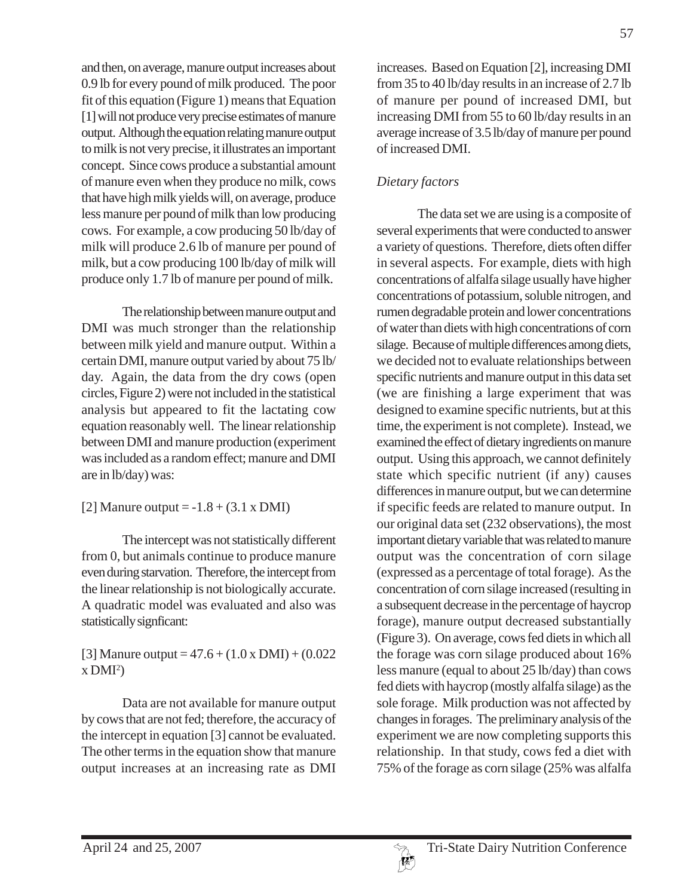and then, on average, manure output increases about 0.9 lb for every pound of milk produced. The poor fit of this equation (Figure 1) means that Equation [1] will not produce very precise estimates of manure output. Although the equation relating manure output to milk is not very precise, it illustrates an important concept. Since cows produce a substantial amount of manure even when they produce no milk, cows that have high milk yields will, on average, produce less manure per pound of milk than low producing cows. For example, a cow producing 50 lb/day of milk will produce 2.6 lb of manure per pound of milk, but a cow producing 100 lb/day of milk will produce only 1.7 lb of manure per pound of milk.

The relationship between manure output and DMI was much stronger than the relationship between milk yield and manure output. Within a certain DMI, manure output varied by about 75 lb/ day. Again, the data from the dry cows (open circles, Figure 2) were not included in the statistical analysis but appeared to fit the lactating cow equation reasonably well. The linear relationship between DMI and manure production (experiment was included as a random effect; manure and DMI are in lb/day) was:

[2] Manure output  $= -1.8 + (3.1 \times DMI)$ 

The intercept was not statistically different from 0, but animals continue to produce manure even during starvation. Therefore, the intercept from the linear relationship is not biologically accurate. A quadratic model was evaluated and also was statistically signficant:

[3] Manure output =  $47.6 + (1.0 \times DMI) + (0.022)$ x DMI2 )

Data are not available for manure output by cows that are not fed; therefore, the accuracy of the intercept in equation [3] cannot be evaluated. The other terms in the equation show that manure output increases at an increasing rate as DMI

increases. Based on Equation [2], increasing DMI from 35 to 40 lb/day results in an increase of 2.7 lb of manure per pound of increased DMI, but increasing DMI from 55 to 60 lb/day results in an average increase of 3.5 lb/day of manure per pound of increased DMI.

# *Dietary factors*

The data set we are using is a composite of several experiments that were conducted to answer a variety of questions. Therefore, diets often differ in several aspects. For example, diets with high concentrations of alfalfa silage usually have higher concentrations of potassium, soluble nitrogen, and rumen degradable protein and lower concentrations of water than diets with high concentrations of corn silage. Because of multiple differences among diets, we decided not to evaluate relationships between specific nutrients and manure output in this data set (we are finishing a large experiment that was designed to examine specific nutrients, but at this time, the experiment is not complete). Instead, we examined the effect of dietary ingredients on manure output. Using this approach, we cannot definitely state which specific nutrient (if any) causes differences in manure output, but we can determine if specific feeds are related to manure output. In our original data set (232 observations), the most important dietary variable that was related to manure output was the concentration of corn silage (expressed as a percentage of total forage). As the concentration of corn silage increased (resulting in a subsequent decrease in the percentage of haycrop forage), manure output decreased substantially (Figure 3). On average, cows fed diets in which all the forage was corn silage produced about 16% less manure (equal to about 25 lb/day) than cows fed diets with haycrop (mostly alfalfa silage) as the sole forage. Milk production was not affected by changes in forages. The preliminary analysis of the experiment we are now completing supports this relationship. In that study, cows fed a diet with 75% of the forage as corn silage (25% was alfalfa

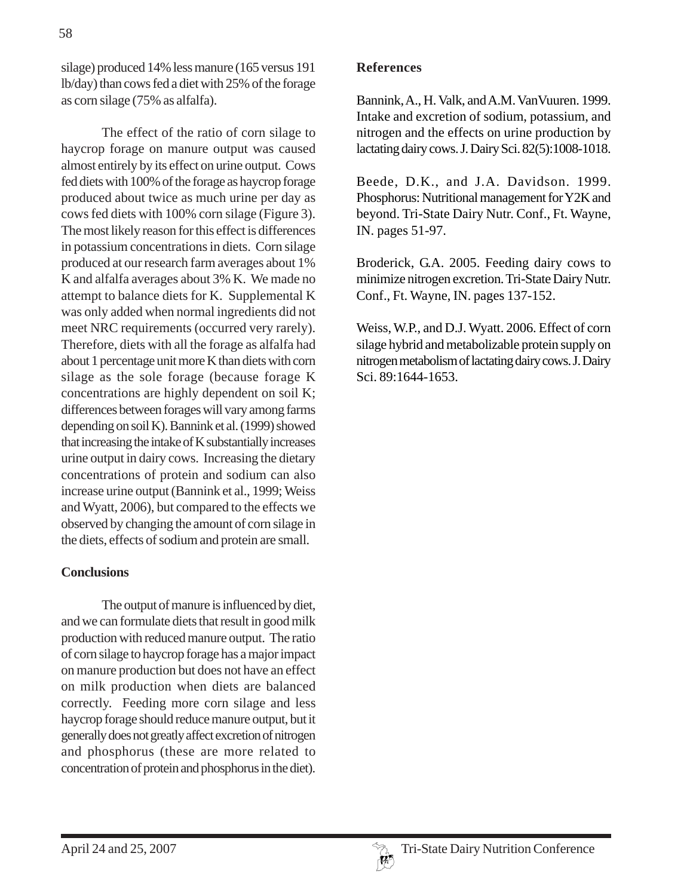silage) produced 14% less manure (165 versus 191 lb/day) than cows fed a diet with 25% of the forage as corn silage (75% as alfalfa).

The effect of the ratio of corn silage to haycrop forage on manure output was caused almost entirely by its effect on urine output. Cows fed diets with 100% of the forage as haycrop forage produced about twice as much urine per day as cows fed diets with 100% corn silage (Figure 3). The most likely reason for this effect is differences in potassium concentrations in diets. Corn silage produced at our research farm averages about 1% K and alfalfa averages about 3% K. We made no attempt to balance diets for K. Supplemental K was only added when normal ingredients did not meet NRC requirements (occurred very rarely). Therefore, diets with all the forage as alfalfa had about 1 percentage unit more K than diets with corn silage as the sole forage (because forage K concentrations are highly dependent on soil K; differences between forages will vary among farms depending on soil K). Bannink et al. (1999) showed that increasing the intake of K substantially increases urine output in dairy cows. Increasing the dietary concentrations of protein and sodium can also increase urine output (Bannink et al., 1999; Weiss and Wyatt, 2006), but compared to the effects we observed by changing the amount of corn silage in the diets, effects of sodium and protein are small.

#### **Conclusions**

The output of manure is influenced by diet, and we can formulate diets that result in good milk production with reduced manure output. The ratio of corn silage to haycrop forage has a major impact on manure production but does not have an effect on milk production when diets are balanced correctly. Feeding more corn silage and less haycrop forage should reduce manure output, but it generally does not greatly affect excretion of nitrogen and phosphorus (these are more related to concentration of protein and phosphorus in the diet).

#### **References**

Bannink, A., H. Valk, and A.M. VanVuuren. 1999. Intake and excretion of sodium, potassium, and nitrogen and the effects on urine production by lactating dairy cows. J. Dairy Sci. 82(5):1008-1018.

Beede, D.K., and J.A. Davidson. 1999. Phosphorus: Nutritional management for Y2K and beyond. Tri-State Dairy Nutr. Conf., Ft. Wayne, IN. pages 51-97.

Broderick, G.A. 2005. Feeding dairy cows to minimize nitrogen excretion. Tri-State Dairy Nutr. Conf., Ft. Wayne, IN. pages 137-152.

Weiss, W.P., and D.J. Wyatt. 2006. Effect of corn silage hybrid and metabolizable protein supply on nitrogen metabolism of lactating dairy cows. J. Dairy Sci. 89:1644-1653.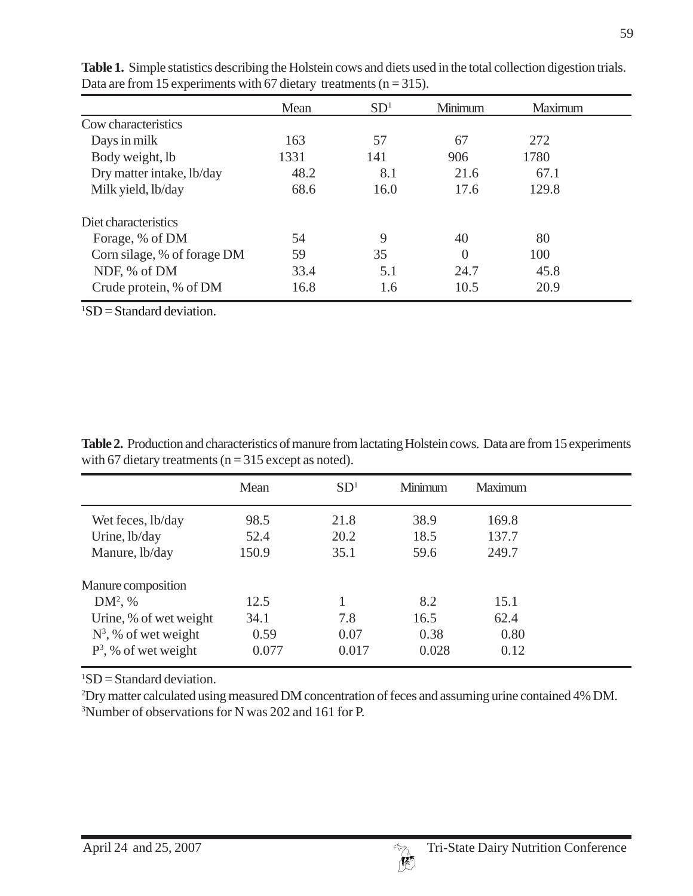|                             | Mean | SD <sup>1</sup> | Minimum        | Maximum |  |
|-----------------------------|------|-----------------|----------------|---------|--|
| Cow characteristics         |      |                 |                |         |  |
| Days in milk                | 163  | 57              | 67             | 272     |  |
| Body weight, lb             | 1331 | 141             | 906            | 1780    |  |
| Dry matter intake, lb/day   | 48.2 | 8.1             | 21.6           | 67.1    |  |
| Milk yield, lb/day          | 68.6 | 16.0            | 17.6           | 129.8   |  |
| Diet characteristics        |      |                 |                |         |  |
| Forage, % of DM             | 54   | 9               | 40             | 80      |  |
| Corn silage, % of forage DM | 59   | 35              | $\overline{0}$ | 100     |  |
| NDF, % of DM                | 33.4 | 5.1             | 24.7           | 45.8    |  |
| Crude protein, % of DM      | 16.8 | 1.6             | 10.5           | 20.9    |  |

**Table 1.** Simple statistics describing the Holstein cows and diets used in the total collection digestion trials. Data are from 15 experiments with 67 dietary treatments ( $n = 315$ ).

 ${}^{1}SD =$ Standard deviation.

**Table 2.** Production and characteristics of manure from lactating Holstein cows. Data are from 15 experiments with 67 dietary treatments ( $n = 315$  except as noted).

|                         | Mean  | SD <sup>1</sup> | Minimum | <b>Maximum</b> |  |
|-------------------------|-------|-----------------|---------|----------------|--|
| Wet feces, lb/day       | 98.5  | 21.8            | 38.9    | 169.8          |  |
| Urine, lb/day           | 52.4  | 20.2            | 18.5    | 137.7          |  |
| Manure, lb/day          | 150.9 | 35.1            | 59.6    | 249.7          |  |
| Manure composition      |       |                 |         |                |  |
| $DM^2$ , %              | 12.5  |                 | 8.2     | 15.1           |  |
| Urine, % of wet weight  | 34.1  | 7.8             | 16.5    | 62.4           |  |
| $N^3$ , % of wet weight | 0.59  | 0.07            | 0.38    | 0.80           |  |
| $P^3$ , % of wet weight | 0.077 | 0.017           | 0.028   | 0.12           |  |

 ${}^{1}SD =$  Standard deviation.

2 Dry matter calculated using measured DM concentration of feces and assuming urine contained 4% DM. 3 Number of observations for N was 202 and 161 for P.

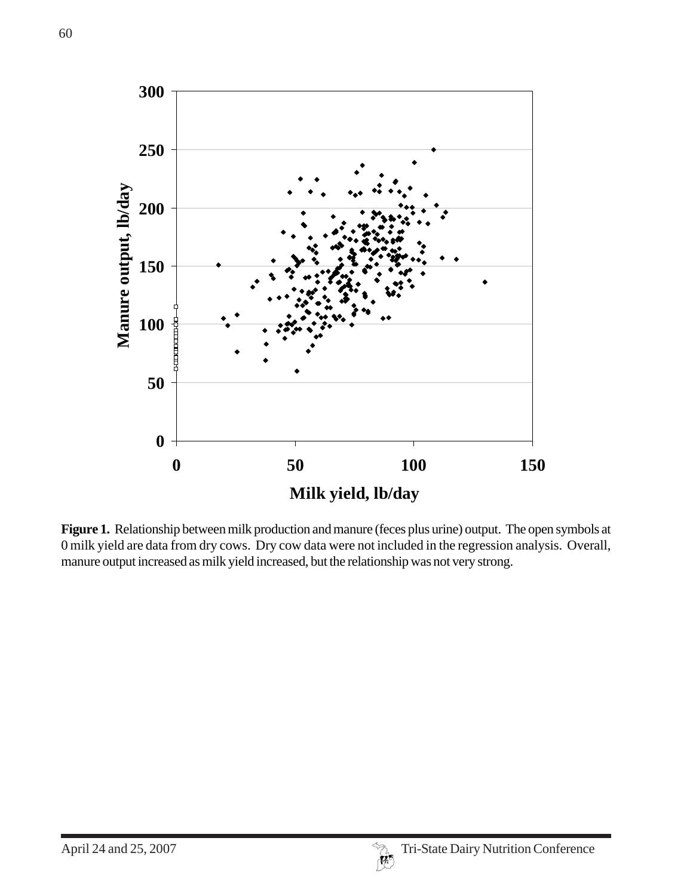

**Figure 1.** Relationship between milk production and manure (feces plus urine) output. The open symbols at 0 milk yield are data from dry cows. Dry cow data were not included in the regression analysis. Overall, manure output increased as milk yield increased, but the relationship was not very strong.

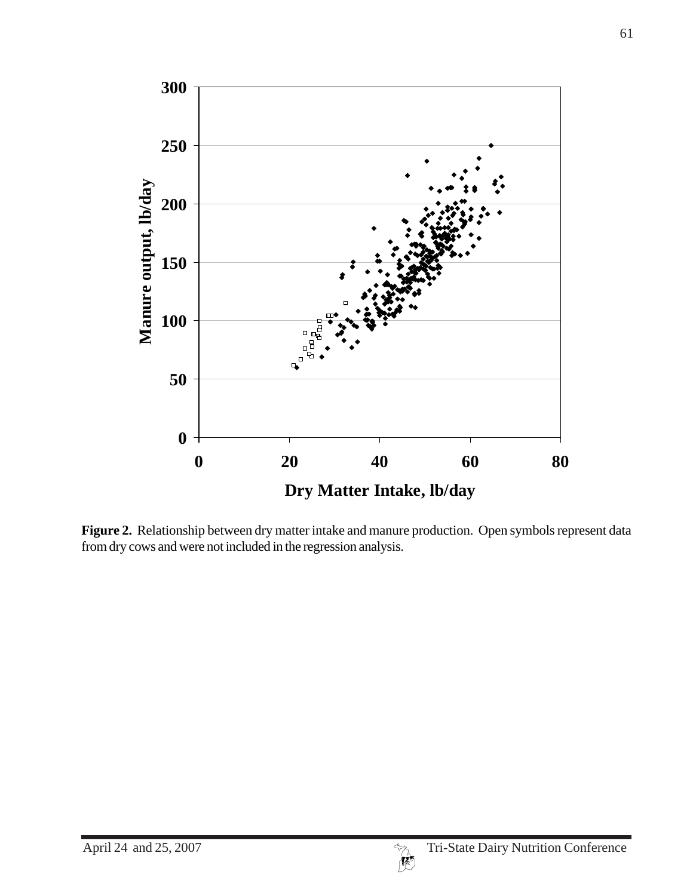

**Figure 2.** Relationship between dry matter intake and manure production. Open symbols represent data from dry cows and were not included in the regression analysis.